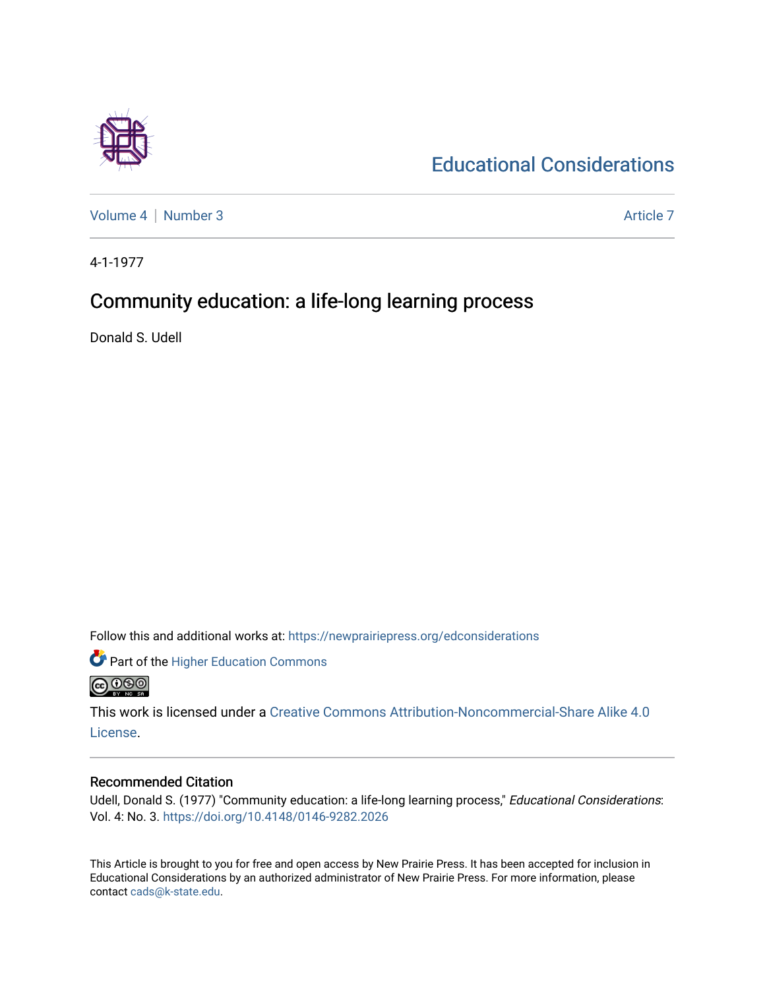

[Educational Considerations](https://newprairiepress.org/edconsiderations) 

[Volume 4](https://newprairiepress.org/edconsiderations/vol4) | [Number 3](https://newprairiepress.org/edconsiderations/vol4/iss3) Article 7

4-1-1977

### Community education: a life-long learning process

Donald S. Udell

Follow this and additional works at: [https://newprairiepress.org/edconsiderations](https://newprairiepress.org/edconsiderations?utm_source=newprairiepress.org%2Fedconsiderations%2Fvol4%2Fiss3%2F7&utm_medium=PDF&utm_campaign=PDFCoverPages) 



This work is licensed under a [Creative Commons Attribution-Noncommercial-Share Alike 4.0](https://creativecommons.org/licenses/by-nc-sa/4.0/) [License.](https://creativecommons.org/licenses/by-nc-sa/4.0/)

#### Recommended Citation

Udell, Donald S. (1977) "Community education: a life-long learning process," Educational Considerations: Vol. 4: No. 3. <https://doi.org/10.4148/0146-9282.2026>

This Article is brought to you for free and open access by New Prairie Press. It has been accepted for inclusion in Educational Considerations by an authorized administrator of New Prairie Press. For more information, please contact [cads@k-state.edu](mailto:cads@k-state.edu).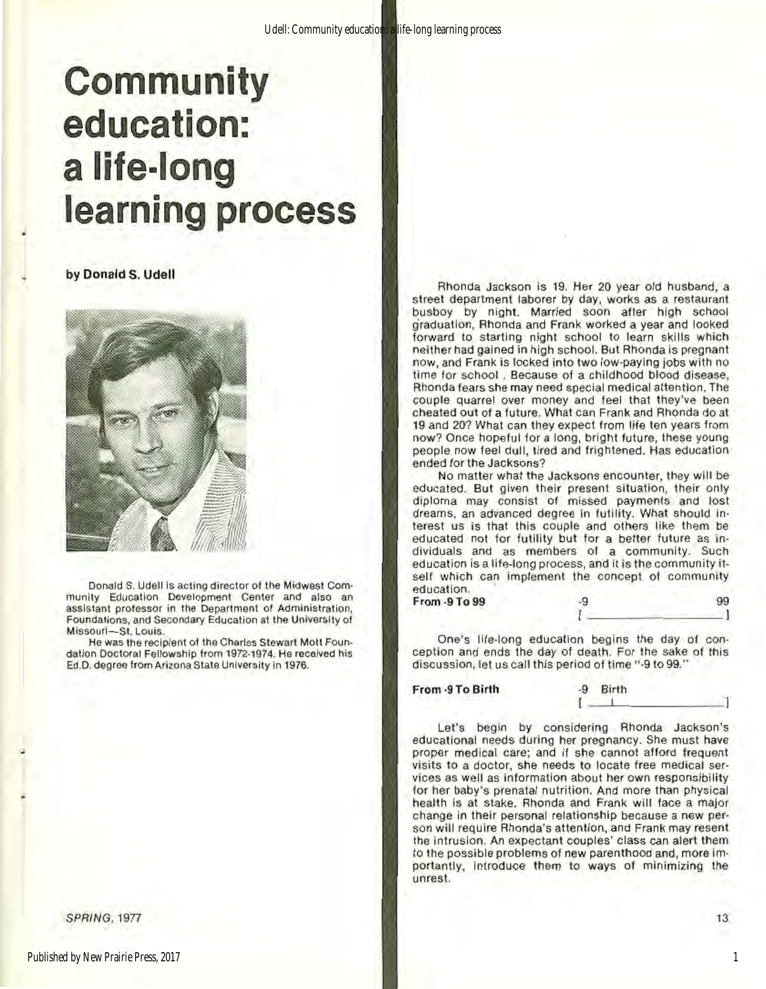## **Community education: a life-long learning process**

by Donald S. Udell



Donald S. Udell is acting director of the Midwest Com**munlty Education Development Center and also an assistant professor in the Oepartmont of Administration,**  Foundations, and Secondary Education at the University of Missouri-St. Louis.

**He was the recipient of the Charles Stewart Mott Foun**dation Doctoral Fellowship from 1972·1974. He received his **Ed.0. degree from Arizona State University in 1976.** 

SPRING, 1977

Rhonda Jackson is 19. Her 20 year old husband, a street department laborer by day. works as a restaurant busboy by night. Married soon after high school graduation, Rhonda and Frank worked a year and looked forward to starting night school to learn skills which neither had gained in high school. But Rhonda is pregnant now, and Frank is tocked into two low·paying jobs with no time for school . Because of a childhood blood disease, Rhonda fears she may need special medical attention. The couple quarrel over money and feel that they've been cheated out of a future. What can Frank and Rhonda do at 19 and 20? What can they expect from life ten years from now? Once hopeful for a long, bright future. these young people now feel dull, tired and frightened. Has education ended for the Jacksons?

No matter what the Jacksons encounter, they will be educated. But given their present situation, their only diploma may consist of missed payments and lost dreams. an advanced degree In futility. What should in· terest us is that this couple and others like them be educated not for futility but for a better future as individuals and as members of a community. Such education is a life-long process, and it is the community itself which can implement the concept of community education. From -9 To 99 99 99

I I One's life·long education begins the day of conception and ends the day of death. For the sake of this

discussion, let us call this period of time "·9 to99." From ·9 To Birth ·9 Birth [ \_ \_.\_\_ \_\_\_\_\_ \_

Let's begin by considering Rhonda Jackson's educational needs during her pregnancy. She must have proper medical care; and if she cannot afford frequent visits to a doctor, she needs to locate free medical ser· vices as well as Information about her own responsibility for her baby's prenatal nutrition. And more than physical health is at stake. Rhonda and Frank will face a major change in their personal relationship because a new per· son will require Rhonda's attention, and Frank may resent the intrusion. An expectant couples' class can alert them to the possible problems of new parenthood and, more importantly, Introduce them to ways of minimizing the unrest.

13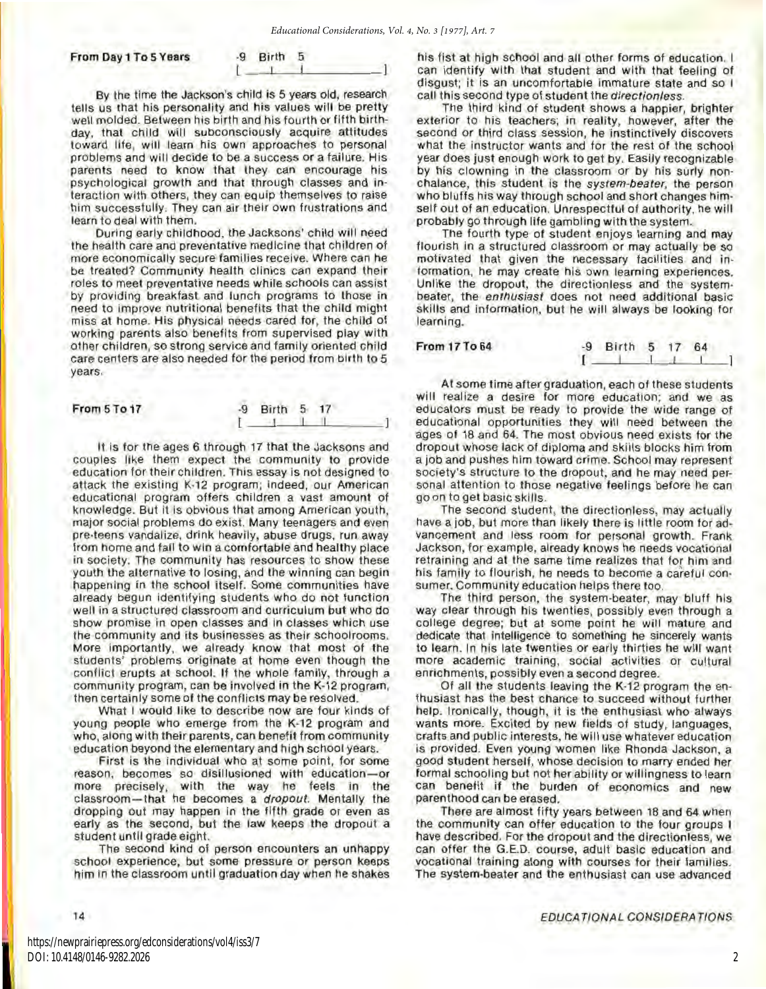*Educational Considerations, Vol. 4, No. 3 [1977], Art. 7*

#### From Day 1 To 5 Years

| <b>Birth</b> |  |
|--------------|--|
|              |  |

By the time the Jackson's child is 5 years old, research tells us that his personality and his values will be pretty well molded. Between his birth and his fourth or fifth birthday, that child will subconsciously acquire attitudes toward life, will learn his own approaches to personal problems and will decide to be a success or a failure. His parents need to know that they can encourage his psychological growth and that through classes and interaction with others, they can equip themselves to raise him successfully. They can air their own frustrations and learn to deal with them.

During early childhood, the Jacksons' child will need the health care and preventative medicine that children of more economically secure families receive. Where can he be treated? Community health clinics can expand their roles to meet preventative needs while schools can assist by providing breakfast and lunch programs to those in need to Improve nutritional benefits that the child might miss at home. His physical needs cared for, the child of working parents also benefits from supervised play with other children, so strong service and family oriented child care centers are also needed for the period from birth to 5 years.

| From 5 To 17 | -9 Birth 5 17        |  |
|--------------|----------------------|--|
|              | <b>Communication</b> |  |

It is for the ages 6 through 17 that the Jacksons and couples like them expect the community to provide education for their children. This essay is not designed to attack the existing K-12 program; indeed, our American educational program offers children a vast amount of knowledge. But it is obvious that among American youth, major social problems do exist. Many teenagers and even pre-teens vandalize, drink heavily, abuse drugs, run away from home and fail to win a comfortable and healthy place in society. The community has resources to show these youth the alternative to losing, and the winning can begin happening in the school itself. Some communities have already begun identifying students who do not function well in a structured classroom and curriculum but who do show promise in open classes and in classes which use the community and its businesses as their schoolrooms. More importantly, we already know that most of the students' problems originate at home even though the conflict erupts at school. If the whole family, through a community program, can be involved in the K-12 program, then certainly some of the conflicts may be resolved.

What I would like to describe now are four kinds of young people who emerge from the K-12 program and who, along with their parents, can benefit from community education beyond the elementary and high school years.

First is the individual who at some point, for some reason, becomes so disillusioned with education-or more precisely, with the way he feels in the classroom-that he becomes a dropout. Mentally the dropping out may happen In the fifth grade or even as early as the second, but the law keeps the dropout a student until grade eight.

The second kind of person encounters an unhappy school experience, but some pressure or person keeps him in the classroom until graduation day when he shakes his fist at high school and all other forms of education. I can identify with that student and with that feeling of disgust; it is an uncomfortable immature state and so I call this second type of student the *directionless*.

The third kind of student shows a happier, brighter exterior to his teachers; in reality, however, after the second or third class session, he instinctively discovers what the instructor wants and for the rest of the school year does just enough work to get by. Easily recognizable by his clowning in the classroom or by his surly non· chalance, this student is the system-beater, the person who bluffs his way through school and short changes himself out of an education. Unrespectful of authority, he will probably go through life gambling with the system.

The fourth type of student enjoys learning and may flourish in a structured classroom or may actually be so motivated that given the necessary facilities and in· formation, he may create his own learning experiences. Unlike the dropout, the directionless and the systembeater, the enthusiast does not need additional basic skills and information, but he will always be looking for learning.

| From 17 To 64 | -9 Birth 5 17 64                               |  |  |
|---------------|------------------------------------------------|--|--|
|               | the property of the complete the complete that |  |  |

At some time after graduation, each of these students will realize a desire for more education; and we as educators must be ready to provide the wide range of educational opportunities they will need between the ages of 18 and 64. The most obvious need exists for the dropout whose lack of diploma and skills blocks him from a job and pushes him toward crime. School may represent society's structure to the dropout, and he may need personal attention to those negative feelings before he can go on to get basic skills.

The second student, the directionless, may actually have a job, but more than likely there is little room for ad· vancement and less room for personal growth. Frank Jackson, for example, already knows he needs vocational retraining and at the same time realizes that for him and his family to flourish, he needs to become a careful con. sumer. Community education helps there too.

The third person, the system-beater, may bluff his way clear through his twenties, possibly even through a college degree; but at some point he will mature and dedicate that intelligence to something he sincerely wants to learn. In his late twenties or early thirties he will want more academic training, social activities or cultural enrichments, possibly even a second degree.

Of all the students leaving the K-12 program the en· thusiast has the best chance to succeed without further help. Ironically, though, it is the enthusiast who always wants more. Excited by new fields of study, languages, crafts and public interests, he will use whatever education is provided. Even young women like Rhonda Jackson, a good student herself, whose decision to marry ended her formal schooling but not her ability or willingness to learn can benefit if the burden of economics and new parenthood can be erased.

There are almost fifty years between 18 and 64 when the community can offer education to the four groups I have described. For the dropout and the directionless, we can offer the G.E.D. course, adult basic education and vocational training along with courses for their families. The system-beater and the enthusiast can use advanced

14